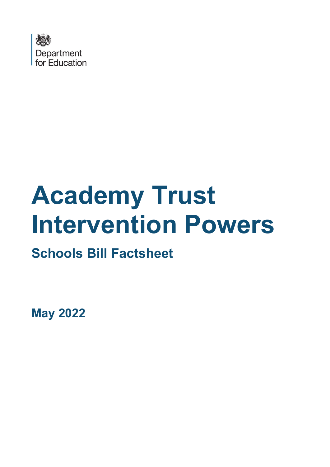

# **Academy Trust Intervention Powers**

## **Schools Bill Factsheet**

**May 2022**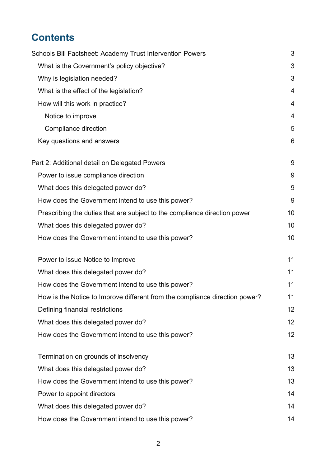## **Contents**

| Schools Bill Factsheet: Academy Trust Intervention Powers                   | 3  |
|-----------------------------------------------------------------------------|----|
| What is the Government's policy objective?                                  | 3  |
| Why is legislation needed?                                                  | 3  |
| What is the effect of the legislation?                                      | 4  |
| How will this work in practice?                                             | 4  |
| Notice to improve                                                           | 4  |
| Compliance direction                                                        | 5  |
| Key questions and answers                                                   | 6  |
| Part 2: Additional detail on Delegated Powers                               | 9  |
| Power to issue compliance direction                                         | 9  |
| What does this delegated power do?                                          | 9  |
| How does the Government intend to use this power?                           | 9  |
| Prescribing the duties that are subject to the compliance direction power   | 10 |
| What does this delegated power do?                                          | 10 |
| How does the Government intend to use this power?                           | 10 |
| Power to issue Notice to Improve                                            | 11 |
| What does this delegated power do?                                          | 11 |
| How does the Government intend to use this power?                           | 11 |
| How is the Notice to Improve different from the compliance direction power? | 11 |
| Defining financial restrictions                                             | 12 |
| What does this delegated power do?                                          | 12 |
| How does the Government intend to use this power?                           | 12 |
| Termination on grounds of insolvency                                        | 13 |
| What does this delegated power do?                                          | 13 |
| How does the Government intend to use this power?                           | 13 |
| Power to appoint directors                                                  | 14 |
| What does this delegated power do?                                          | 14 |
| How does the Government intend to use this power?                           | 14 |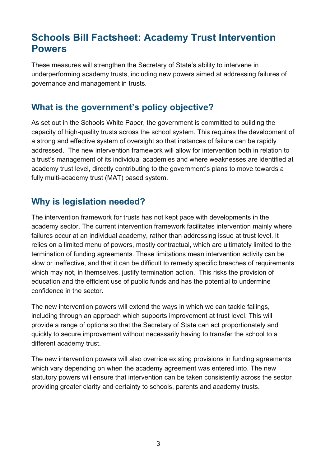## <span id="page-2-0"></span>**Schools Bill Factsheet: Academy Trust Intervention Powers**

These measures will strengthen the Secretary of State's ability to intervene in underperforming academy trusts, including new powers aimed at addressing failures of governance and management in trusts.

## <span id="page-2-1"></span>**What is the government's policy objective?**

As set out in the Schools White Paper, the government is committed to building the capacity of high-quality trusts across the school system. This requires the development of a strong and effective system of oversight so that instances of failure can be rapidly addressed. The new intervention framework will allow for intervention both in relation to a trust's management of its individual academies and where weaknesses are identified at academy trust level, directly contributing to the government's plans to move towards a fully multi-academy trust (MAT) based system.

## <span id="page-2-2"></span>**Why is legislation needed?**

The intervention framework for trusts has not kept pace with developments in the academy sector. The current intervention framework facilitates intervention mainly where failures occur at an individual academy, rather than addressing issue at trust level. It relies on a limited menu of powers, mostly contractual, which are ultimately limited to the termination of funding agreements. These limitations mean intervention activity can be slow or ineffective, and that it can be difficult to remedy specific breaches of requirements which may not, in themselves, justify termination action. This risks the provision of education and the efficient use of public funds and has the potential to undermine confidence in the sector.

The new intervention powers will extend the ways in which we can tackle failings, including through an approach which supports improvement at trust level. This will provide a range of options so that the Secretary of State can act proportionately and quickly to secure improvement without necessarily having to transfer the school to a different academy trust.

The new intervention powers will also override existing provisions in funding agreements which vary depending on when the academy agreement was entered into. The new statutory powers will ensure that intervention can be taken consistently across the sector providing greater clarity and certainty to schools, parents and academy trusts.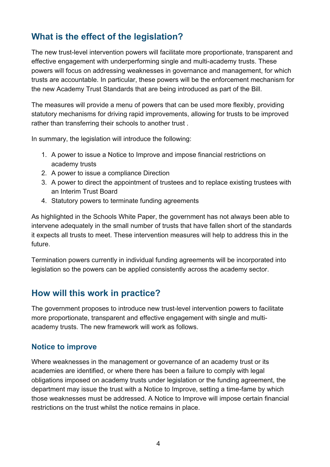## <span id="page-3-0"></span>**What is the effect of the legislation?**

The new trust-level intervention powers will facilitate more proportionate, transparent and effective engagement with underperforming single and multi-academy trusts. These powers will focus on addressing weaknesses in governance and management, for which trusts are accountable. In particular, these powers will be the enforcement mechanism for the new Academy Trust Standards that are being introduced as part of the Bill.

The measures will provide a menu of powers that can be used more flexibly, providing statutory mechanisms for driving rapid improvements, allowing for trusts to be improved rather than transferring their schools to another trust .

In summary, the legislation will introduce the following:

- 1. A power to issue a Notice to Improve and impose financial restrictions on academy trusts
- 2. A power to issue a compliance Direction
- 3. A power to direct the appointment of trustees and to replace existing trustees with an Interim Trust Board
- 4. Statutory powers to terminate funding agreements

As highlighted in the Schools White Paper, the government has not always been able to intervene adequately in the small number of trusts that have fallen short of the standards it expects all trusts to meet. These intervention measures will help to address this in the future.

Termination powers currently in individual funding agreements will be incorporated into legislation so the powers can be applied consistently across the academy sector.

#### <span id="page-3-1"></span>**How will this work in practice?**

The government proposes to introduce new trust-level intervention powers to facilitate more proportionate, transparent and effective engagement with single and multiacademy trusts. The new framework will work as follows.

#### <span id="page-3-2"></span>**Notice to improve**

Where weaknesses in the management or governance of an academy trust or its academies are identified, or where there has been a failure to comply with legal obligations imposed on academy trusts under legislation or the funding agreement, the department may issue the trust with a Notice to Improve, setting a time-fame by which those weaknesses must be addressed. A Notice to Improve will impose certain financial restrictions on the trust whilst the notice remains in place.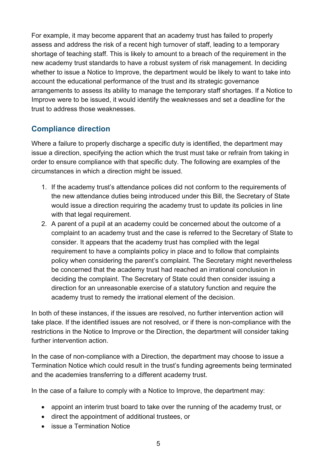For example, it may become apparent that an academy trust has failed to properly assess and address the risk of a recent high turnover of staff, leading to a temporary shortage of teaching staff. This is likely to amount to a breach of the requirement in the new academy trust standards to have a robust system of risk management. In deciding whether to issue a Notice to Improve, the department would be likely to want to take into account the educational performance of the trust and its strategic governance arrangements to assess its ability to manage the temporary staff shortages. If a Notice to Improve were to be issued, it would identify the weaknesses and set a deadline for the trust to address those weaknesses.

#### <span id="page-4-0"></span>**Compliance direction**

Where a failure to properly discharge a specific duty is identified, the department may issue a direction, specifying the action which the trust must take or refrain from taking in order to ensure compliance with that specific duty. The following are examples of the circumstances in which a direction might be issued.

- 1. If the academy trust's attendance polices did not conform to the requirements of the new attendance duties being introduced under this Bill, the Secretary of State would issue a direction requiring the academy trust to update its policies in line with that legal requirement.
- 2. A parent of a pupil at an academy could be concerned about the outcome of a complaint to an academy trust and the case is referred to the Secretary of State to consider. It appears that the academy trust has complied with the legal requirement to have a complaints policy in place and to follow that complaints policy when considering the parent's complaint. The Secretary might nevertheless be concerned that the academy trust had reached an irrational conclusion in deciding the complaint. The Secretary of State could then consider issuing a direction for an unreasonable exercise of a statutory function and require the academy trust to remedy the irrational element of the decision.

In both of these instances, if the issues are resolved, no further intervention action will take place. If the identified issues are not resolved, or if there is non-compliance with the restrictions in the Notice to Improve or the Direction, the department will consider taking further intervention action.

In the case of non-compliance with a Direction, the department may choose to issue a Termination Notice which could result in the trust's funding agreements being terminated and the academies transferring to a different academy trust.

In the case of a failure to comply with a Notice to Improve, the department may:

- appoint an interim trust board to take over the running of the academy trust, or
- direct the appointment of additional trustees, or
- issue a Termination Notice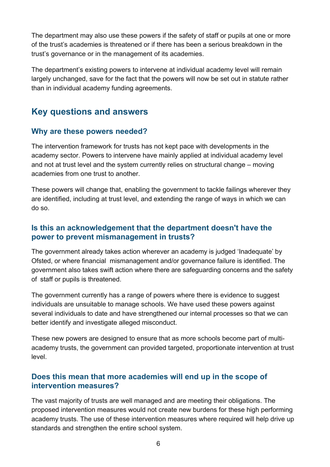The department may also use these powers if the safety of staff or pupils at one or more of the trust's academies is threatened or if there has been a serious breakdown in the trust's governance or in the management of its academies.

The department's existing powers to intervene at individual academy level will remain largely unchanged, save for the fact that the powers will now be set out in statute rather than in individual academy funding agreements.

#### <span id="page-5-0"></span>**Key questions and answers**

#### **Why are these powers needed?**

The intervention framework for trusts has not kept pace with developments in the academy sector. Powers to intervene have mainly applied at individual academy level and not at trust level and the system currently relies on structural change – moving academies from one trust to another.

These powers will change that, enabling the government to tackle failings wherever they are identified, including at trust level, and extending the range of ways in which we can do so.

#### **Is this an acknowledgement that the department doesn't have the power to prevent mismanagement in trusts?**

The government already takes action wherever an academy is judged 'Inadequate' by Ofsted, or where financial mismanagement and/or governance failure is identified. The government also takes swift action where there are safeguarding concerns and the safety of staff or pupils is threatened.

The government currently has a range of powers where there is evidence to suggest individuals are unsuitable to manage schools. We have used these powers against several individuals to date and have strengthened our internal processes so that we can better identify and investigate alleged misconduct.

These new powers are designed to ensure that as more schools become part of multiacademy trusts, the government can provided targeted, proportionate intervention at trust level.

#### **Does this mean that more academies will end up in the scope of intervention measures?**

The vast majority of trusts are well managed and are meeting their obligations. The proposed intervention measures would not create new burdens for these high performing academy trusts. The use of these intervention measures where required will help drive up standards and strengthen the entire school system.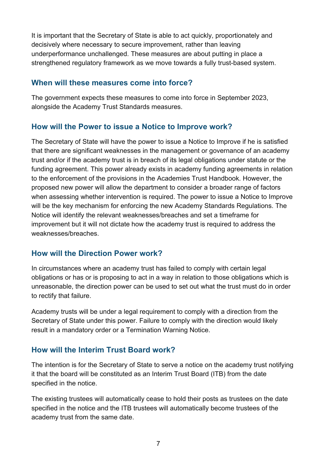It is important that the Secretary of State is able to act quickly, proportionately and decisively where necessary to secure improvement, rather than leaving underperformance unchallenged. These measures are about putting in place a strengthened regulatory framework as we move towards a fully trust-based system.

#### **When will these measures come into force?**

The government expects these measures to come into force in September 2023, alongside the Academy Trust Standards measures.

#### **How will the Power to issue a Notice to Improve work?**

The Secretary of State will have the power to issue a Notice to Improve if he is satisfied that there are significant weaknesses in the management or governance of an academy trust and/or if the academy trust is in breach of its legal obligations under statute or the funding agreement. This power already exists in academy funding agreements in relation to the enforcement of the provisions in the Academies Trust Handbook. However, the proposed new power will allow the department to consider a broader range of factors when assessing whether intervention is required. The power to issue a Notice to Improve will be the key mechanism for enforcing the new Academy Standards Regulations. The Notice will identify the relevant weaknesses/breaches and set a timeframe for improvement but it will not dictate how the academy trust is required to address the weaknesses/breaches.

#### **How will the Direction Power work?**

In circumstances where an academy trust has failed to comply with certain legal obligations or has or is proposing to act in a way in relation to those obligations which is unreasonable, the direction power can be used to set out what the trust must do in order to rectify that failure.

Academy trusts will be under a legal requirement to comply with a direction from the Secretary of State under this power. Failure to comply with the direction would likely result in a mandatory order or a Termination Warning Notice.

#### **How will the Interim Trust Board work?**

The intention is for the Secretary of State to serve a notice on the academy trust notifying it that the board will be constituted as an Interim Trust Board (ITB) from the date specified in the notice.

The existing trustees will automatically cease to hold their posts as trustees on the date specified in the notice and the ITB trustees will automatically become trustees of the academy trust from the same date.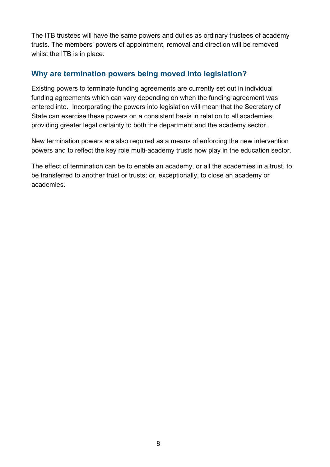The ITB trustees will have the same powers and duties as ordinary trustees of academy trusts. The members' powers of appointment, removal and direction will be removed whilst the ITB is in place.

#### **Why are termination powers being moved into legislation?**

Existing powers to terminate funding agreements are currently set out in individual funding agreements which can vary depending on when the funding agreement was entered into. Incorporating the powers into legislation will mean that the Secretary of State can exercise these powers on a consistent basis in relation to all academies, providing greater legal certainty to both the department and the academy sector.

New termination powers are also required as a means of enforcing the new intervention powers and to reflect the key role multi-academy trusts now play in the education sector.

The effect of termination can be to enable an academy, or all the academies in a trust, to be transferred to another trust or trusts; or, exceptionally, to close an academy or academies.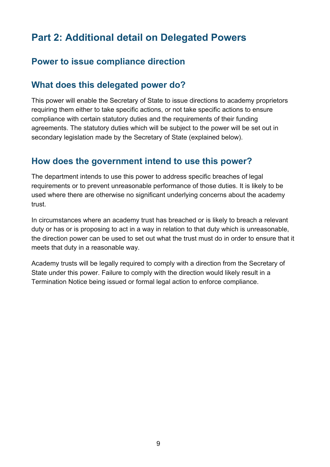## <span id="page-8-0"></span>**Part 2: Additional detail on Delegated Powers**

## <span id="page-8-1"></span>**Power to issue compliance direction**

## <span id="page-8-2"></span>**What does this delegated power do?**

This power will enable the Secretary of State to issue directions to academy proprietors requiring them either to take specific actions, or not take specific actions to ensure compliance with certain statutory duties and the requirements of their funding agreements. The statutory duties which will be subject to the power will be set out in secondary legislation made by the Secretary of State (explained below).

#### <span id="page-8-3"></span>**How does the government intend to use this power?**

The department intends to use this power to address specific breaches of legal requirements or to prevent unreasonable performance of those duties. It is likely to be used where there are otherwise no significant underlying concerns about the academy trust.

In circumstances where an academy trust has breached or is likely to breach a relevant duty or has or is proposing to act in a way in relation to that duty which is unreasonable, the direction power can be used to set out what the trust must do in order to ensure that it meets that duty in a reasonable way.

Academy trusts will be legally required to comply with a direction from the Secretary of State under this power. Failure to comply with the direction would likely result in a Termination Notice being issued or formal legal action to enforce compliance.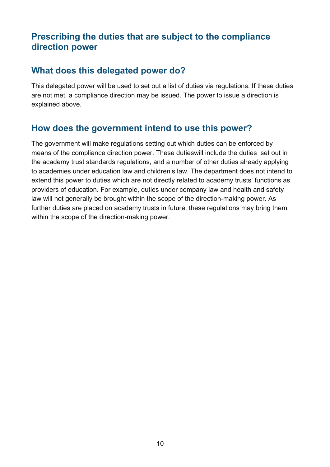## <span id="page-9-0"></span>**Prescribing the duties that are subject to the compliance direction power**

## <span id="page-9-1"></span>**What does this delegated power do?**

This delegated power will be used to set out a list of duties via regulations. If these duties are not met, a compliance direction may be issued. The power to issue a direction is explained above.

## <span id="page-9-2"></span>**How does the government intend to use this power?**

The government will make regulations setting out which duties can be enforced by means of the compliance direction power. These dutieswill include the duties set out in the academy trust standards regulations, and a number of other duties already applying to academies under education law and children's law. The department does not intend to extend this power to duties which are not directly related to academy trusts' functions as providers of education. For example, duties under company law and health and safety law will not generally be brought within the scope of the direction-making power. As further duties are placed on academy trusts in future, these regulations may bring them within the scope of the direction-making power.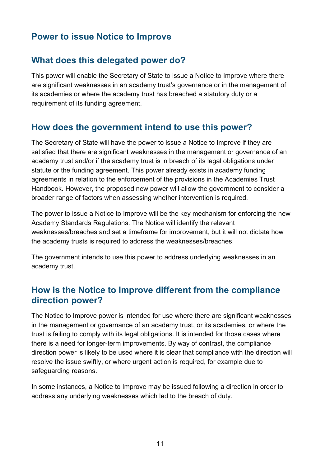## <span id="page-10-0"></span>**Power to issue Notice to Improve**

## <span id="page-10-1"></span>**What does this delegated power do?**

This power will enable the Secretary of State to issue a Notice to Improve where there are significant weaknesses in an academy trust's governance or in the management of its academies or where the academy trust has breached a statutory duty or a requirement of its funding agreement.

## <span id="page-10-2"></span>**How does the government intend to use this power?**

The Secretary of State will have the power to issue a Notice to Improve if they are satisfied that there are significant weaknesses in the management or governance of an academy trust and/or if the academy trust is in breach of its legal obligations under statute or the funding agreement. This power already exists in academy funding agreements in relation to the enforcement of the provisions in the Academies Trust Handbook. However, the proposed new power will allow the government to consider a broader range of factors when assessing whether intervention is required.

The power to issue a Notice to Improve will be the key mechanism for enforcing the new Academy Standards Regulations. The Notice will identify the relevant weaknesses/breaches and set a timeframe for improvement, but it will not dictate how the academy trusts is required to address the weaknesses/breaches.

The government intends to use this power to address underlying weaknesses in an academy trust.

## <span id="page-10-3"></span>**How is the Notice to Improve different from the compliance direction power?**

The Notice to Improve power is intended for use where there are significant weaknesses in the management or governance of an academy trust, or its academies, or where the trust is failing to comply with its legal obligations. It is intended for those cases where there is a need for longer-term improvements. By way of contrast, the compliance direction power is likely to be used where it is clear that compliance with the direction will resolve the issue swiftly, or where urgent action is required, for example due to safeguarding reasons.

In some instances, a Notice to Improve may be issued following a direction in order to address any underlying weaknesses which led to the breach of duty.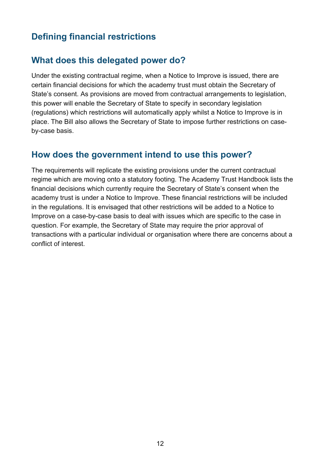## <span id="page-11-0"></span>**Defining financial restrictions**

## <span id="page-11-1"></span>**What does this delegated power do?**

Under the existing contractual regime, when a Notice to Improve is issued, there are certain financial decisions for which the academy trust must obtain the Secretary of State's consent. As provisions are moved from contractual arrangements to legislation, this power will enable the Secretary of State to specify in secondary legislation (regulations) which restrictions will automatically apply whilst a Notice to Improve is in place. The Bill also allows the Secretary of State to impose further restrictions on caseby-case basis.

#### <span id="page-11-2"></span>**How does the government intend to use this power?**

The requirements will replicate the existing provisions under the current contractual regime which are moving onto a statutory footing. The Academy Trust Handbook lists the financial decisions which currently require the Secretary of State's consent when the academy trust is under a Notice to Improve. These financial restrictions will be included in the regulations. It is envisaged that other restrictions will be added to a Notice to Improve on a case-by-case basis to deal with issues which are specific to the case in question. For example, the Secretary of State may require the prior approval of transactions with a particular individual or organisation where there are concerns about a conflict of interest.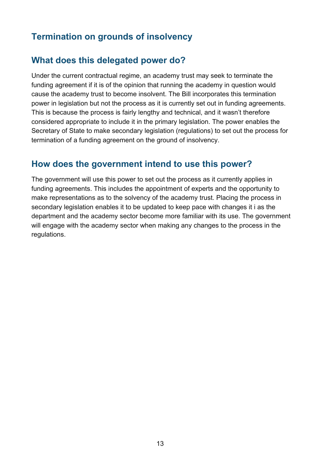## <span id="page-12-0"></span>**Termination on grounds of insolvency**

#### <span id="page-12-1"></span>**What does this delegated power do?**

Under the current contractual regime, an academy trust may seek to terminate the funding agreement if it is of the opinion that running the academy in question would cause the academy trust to become insolvent. The Bill incorporates this termination power in legislation but not the process as it is currently set out in funding agreements. This is because the process is fairly lengthy and technical, and it wasn't therefore considered appropriate to include it in the primary legislation. The power enables the Secretary of State to make secondary legislation (regulations) to set out the process for termination of a funding agreement on the ground of insolvency.

#### <span id="page-12-2"></span>**How does the government intend to use this power?**

The government will use this power to set out the process as it currently applies in funding agreements. This includes the appointment of experts and the opportunity to make representations as to the solvency of the academy trust. Placing the process in secondary legislation enables it to be updated to keep pace with changes it i as the department and the academy sector become more familiar with its use. The government will engage with the academy sector when making any changes to the process in the regulations.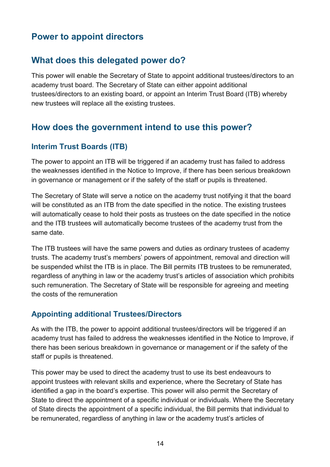## <span id="page-13-0"></span>**Power to appoint directors**

#### <span id="page-13-1"></span>**What does this delegated power do?**

This power will enable the Secretary of State to appoint additional trustees/directors to an academy trust board. The Secretary of State can either appoint additional trustees/directors to an existing board, or appoint an Interim Trust Board (ITB) whereby new trustees will replace all the existing trustees.

#### <span id="page-13-2"></span>**How does the government intend to use this power?**

#### **Interim Trust Boards (ITB)**

The power to appoint an ITB will be triggered if an academy trust has failed to address the weaknesses identified in the Notice to Improve, if there has been serious breakdown in governance or management or if the safety of the staff or pupils is threatened.

The Secretary of State will serve a notice on the academy trust notifying it that the board will be constituted as an ITB from the date specified in the notice. The existing trustees will automatically cease to hold their posts as trustees on the date specified in the notice and the ITB trustees will automatically become trustees of the academy trust from the same date.

The ITB trustees will have the same powers and duties as ordinary trustees of academy trusts. The academy trust's members' powers of appointment, removal and direction will be suspended whilst the ITB is in place. The Bill permits ITB trustees to be remunerated, regardless of anything in law or the academy trust's articles of association which prohibits such remuneration. The Secretary of State will be responsible for agreeing and meeting the costs of the remuneration

#### **Appointing additional Trustees/Directors**

As with the ITB, the power to appoint additional trustees/directors will be triggered if an academy trust has failed to address the weaknesses identified in the Notice to Improve, if there has been serious breakdown in governance or management or if the safety of the staff or pupils is threatened.

This power may be used to direct the academy trust to use its best endeavours to appoint trustees with relevant skills and experience, where the Secretary of State has identified a gap in the board's expertise. This power will also permit the Secretary of State to direct the appointment of a specific individual or individuals. Where the Secretary of State directs the appointment of a specific individual, the Bill permits that individual to be remunerated, regardless of anything in law or the academy trust's articles of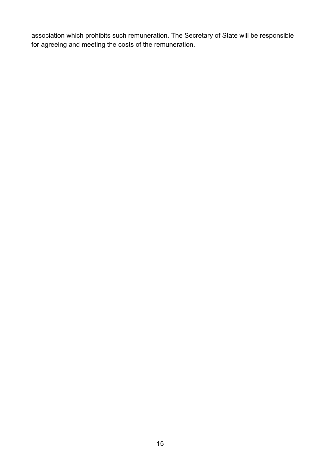association which prohibits such remuneration. The Secretary of State will be responsible for agreeing and meeting the costs of the remuneration.